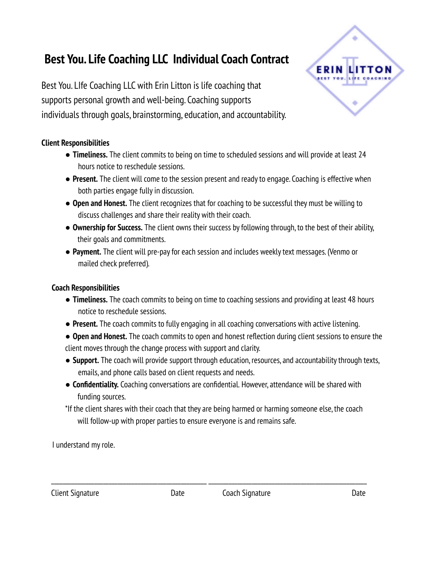## **Best You. Life Coaching LLC Individual Coach Contract**

Best You. LIfe Coaching LLC with Erin Litton is life coaching that supports personal growth and well-being. Coaching supports individuals through goals, brainstorming, education, and accountability.

## **Client Responsibilities**

- **Timeliness.** The client commits to being on time to scheduled sessions and will provide at least 24 hours notice to reschedule sessions.
- Present. The client will come to the session present and ready to engage. Coaching is effective when both parties engage fully in discussion.
- **Open and Honest.** The client recognizes that for coaching to be successful they must be willing to discuss challenges and share their reality with their coach.
- **Ownership for Success.** The client owns their success byfollowing through, to the best of their ability, their goals and commitments.
- Payment. The client will pre-pay for each session and includes weekly text messages. (Venmo or mailed check preferred).

## **Coach Responsibilities**

- **Timeliness.** The coach commits to being on time to coaching sessions and providing at least 48 hours notice to reschedule sessions.
- **Present.** The coach commits to fully engaging in all coaching conversations with active listening.
- **Open and Honest.** The coach commits to open and honest reflection during client sessions to ensure the client moves through the change process with support and clarity.
- **Support.** The coach will provide support through education, resources, and accountability through texts, emails, and phone calls based on client requests and needs.
- **Confidentiality.** Coaching conversations are confidential. However, attendance will be shared with funding sources.

\*If the client shares with their coach that they are being harmed or harming someone else, the coach will follow-up with proper parties to ensure everyone is and remains safe.

\_\_\_\_\_\_\_\_\_\_\_\_\_\_\_\_\_\_\_\_\_\_\_\_\_\_\_\_\_\_\_\_\_\_\_\_\_\_\_\_\_\_\_\_\_\_\_\_\_\_\_\_\_\_ \_\_\_\_\_\_\_\_\_\_\_\_\_\_\_\_\_\_\_\_\_\_\_\_\_\_\_\_\_\_\_\_\_\_\_\_\_\_\_\_\_\_\_\_\_\_\_\_\_\_\_\_\_\_\_

I understand myrole.

ERIN